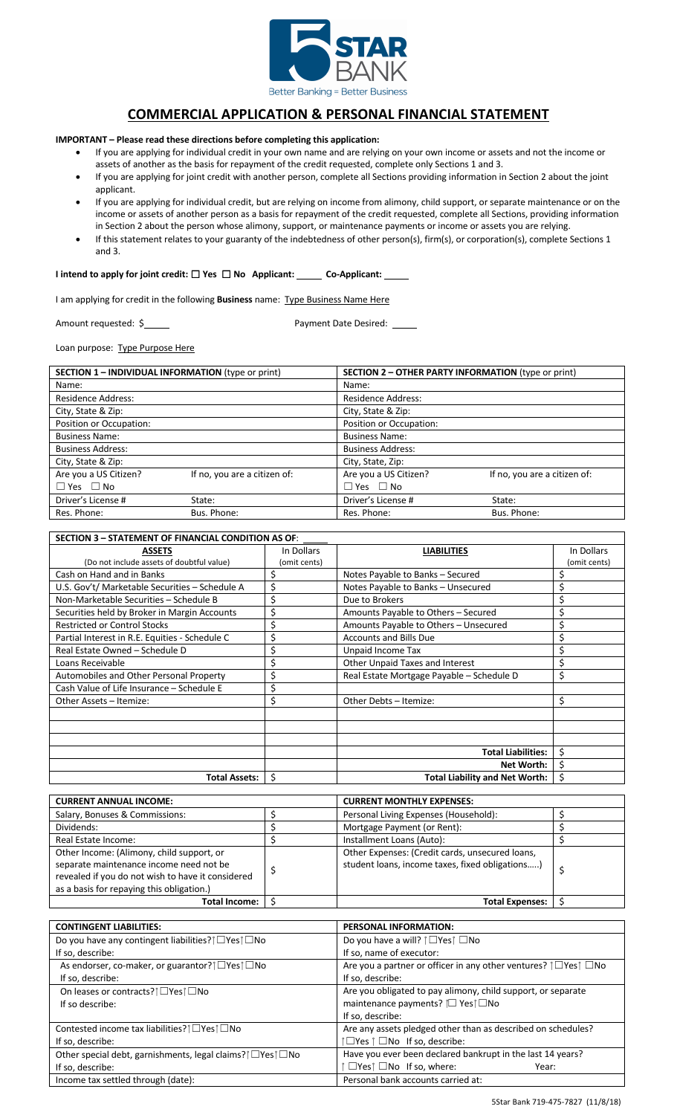

# **COMMERCIAL APPLICATION & PERSONAL FINANCIAL STATEMENT**

**IMPORTANT – Please read these directions before completing this application:**

- If you are applying for individual credit in your own name and are relying on your own income or assets and not the income or assets of another as the basis for repayment of the credit requested, complete only Sections 1 and 3.
- If you are applying for joint credit with another person, complete all Sections providing information in Section 2 about the joint applicant.
- If you are applying for individual credit, but are relying on income from alimony, child support, or separate maintenance or on the income or assets of another person as a basis for repayment of the credit requested, complete all Sections, providing information in Section 2 about the person whose alimony, support, or maintenance payments or income or assets you are relying.
- If this statement relates to your guaranty of the indebtedness of other person(s), firm(s), or corporation(s), complete Sections 1 and 3.

**I** intend to apply for joint credit: □ Yes □ No Applicant: \_\_\_\_\_ Co-Applicant: \_

I am applying for credit in the following **Business** name: Type Business Name Here

Amount requested:  $\frac{6}{2}$  Payment Date Desired:

Loan purpose: Type Purpose Here

|                           | <b>SECTION 1 – INDIVIDUAL INFORMATION (type or print)</b> |                           | <b>SECTION 2 – OTHER PARTY INFORMATION (type or print)</b> |  |  |  |
|---------------------------|-----------------------------------------------------------|---------------------------|------------------------------------------------------------|--|--|--|
| Name:                     |                                                           | Name:                     |                                                            |  |  |  |
| <b>Residence Address:</b> |                                                           | <b>Residence Address:</b> |                                                            |  |  |  |
| City, State & Zip:        |                                                           | City, State & Zip:        |                                                            |  |  |  |
| Position or Occupation:   |                                                           | Position or Occupation:   |                                                            |  |  |  |
| <b>Business Name:</b>     |                                                           | <b>Business Name:</b>     |                                                            |  |  |  |
| <b>Business Address:</b>  |                                                           | <b>Business Address:</b>  |                                                            |  |  |  |
| City, State & Zip:        |                                                           | City, State, Zip:         |                                                            |  |  |  |
| Are you a US Citizen?     | If no, you are a citizen of:                              | Are you a US Citizen?     | If no, you are a citizen of:                               |  |  |  |
| $\Box$ Yes $\Box$ No      |                                                           | $\Box$ Yes $\Box$ No      |                                                            |  |  |  |
| Driver's License #        | State:                                                    | Driver's License #        | State:                                                     |  |  |  |
| Res. Phone:               | Bus. Phone:                                               | Res. Phone:               | Bus. Phone:                                                |  |  |  |

| <b>SECTION 3 - STATEMENT OF FINANCIAL CONDITION AS OF:</b> |              |                                           |              |  |  |  |
|------------------------------------------------------------|--------------|-------------------------------------------|--------------|--|--|--|
| <b>ASSETS</b>                                              | In Dollars   | <b>LIABILITIES</b>                        | In Dollars   |  |  |  |
| (Do not include assets of doubtful value)                  | (omit cents) |                                           | (omit cents) |  |  |  |
| Cash on Hand and in Banks                                  |              | Notes Payable to Banks - Secured          | \$           |  |  |  |
| U.S. Gov't/ Marketable Securities - Schedule A             |              | Notes Payable to Banks - Unsecured        | \$           |  |  |  |
| Non-Marketable Securities - Schedule B                     |              | Due to Brokers                            | \$           |  |  |  |
| Securities held by Broker in Margin Accounts               |              | Amounts Payable to Others - Secured       | \$           |  |  |  |
| <b>Restricted or Control Stocks</b>                        |              | Amounts Payable to Others - Unsecured     | \$           |  |  |  |
| Partial Interest in R.E. Equities - Schedule C             |              | <b>Accounts and Bills Due</b>             | \$           |  |  |  |
| Real Estate Owned - Schedule D                             |              | Unpaid Income Tax                         | \$           |  |  |  |
| Loans Receivable                                           |              | Other Unpaid Taxes and Interest           | \$           |  |  |  |
| Automobiles and Other Personal Property                    |              | Real Estate Mortgage Payable - Schedule D | \$           |  |  |  |
| Cash Value of Life Insurance - Schedule E                  |              |                                           |              |  |  |  |
| Other Assets - Itemize:                                    | S            | Other Debts - Itemize:                    | \$           |  |  |  |
|                                                            |              |                                           |              |  |  |  |
|                                                            |              |                                           |              |  |  |  |
|                                                            |              |                                           |              |  |  |  |
|                                                            |              | <b>Total Liabilities:</b>                 | \$           |  |  |  |
|                                                            |              | Net Worth:                                | \$           |  |  |  |
| <b>Total Assets:</b>                                       | Ś            | <b>Total Liability and Net Worth:</b>     | \$           |  |  |  |

| <b>CURRENT ANNUAL INCOME:</b>                                                                                                                                                          |  | <b>CURRENT MONTHLY EXPENSES:</b>                                                                   |  |  |
|----------------------------------------------------------------------------------------------------------------------------------------------------------------------------------------|--|----------------------------------------------------------------------------------------------------|--|--|
| Salary, Bonuses & Commissions:                                                                                                                                                         |  | Personal Living Expenses (Household):                                                              |  |  |
| Dividends:                                                                                                                                                                             |  | Mortgage Payment (or Rent):                                                                        |  |  |
| Real Estate Income:                                                                                                                                                                    |  | Installment Loans (Auto):                                                                          |  |  |
| Other Income: (Alimony, child support, or<br>separate maintenance income need not be<br>revealed if you do not wish to have it considered<br>as a basis for repaying this obligation.) |  | Other Expenses: (Credit cards, unsecured loans,<br>student loans, income taxes, fixed obligations) |  |  |
| <b>Total Income:</b>                                                                                                                                                                   |  | <b>Total Expenses:</b>                                                                             |  |  |

| <b>CONTINGENT LIABILITIES:</b>                                                      | <b>PERSONAL INFORMATION:</b>                                       |
|-------------------------------------------------------------------------------------|--------------------------------------------------------------------|
| Do you have any contingent liabilities? [ □ Yes ] □ No                              | Do you have a will? $\hat{I} \square Y$ es $\hat{I} \square$ No    |
| If so, describe:                                                                    | If so, name of executor:                                           |
| As endorser, co-maker, or guarantor? $\hat{z}$ $\square$ Yes $\hat{z}$ $\square$ No | Are you a partner or officer in any other ventures?   □ Yes   □ No |
| If so, describe:                                                                    | If so, describe:                                                   |
| On leases or contracts? $\hat{z}$ [ Nes $\hat{z}$ No                                | Are you obligated to pay alimony, child support, or separate       |
| If so describe:                                                                     | maintenance payments? î□ Yes î □ No                                |
|                                                                                     | If so, describe:                                                   |
| Contested income tax liabilities? [ □ Yes ] □ No                                    | Are any assets pledged other than as described on schedules?       |
| If so, describe:                                                                    | $\uparrow \Box$ Yes $\uparrow \Box$ No If so, describe:            |
| Other special debt, garnishments, legal claims?   □ Yes   □ No                      | Have you ever been declared bankrupt in the last 14 years?         |
| If so, describe:                                                                    | $\Box$ Yes $\upharpoonright$ $\Box$ No If so, where:<br>Year:      |
| Income tax settled through (date):                                                  | Personal bank accounts carried at:                                 |

5Star Bank 719-475-7827 (11/8/18)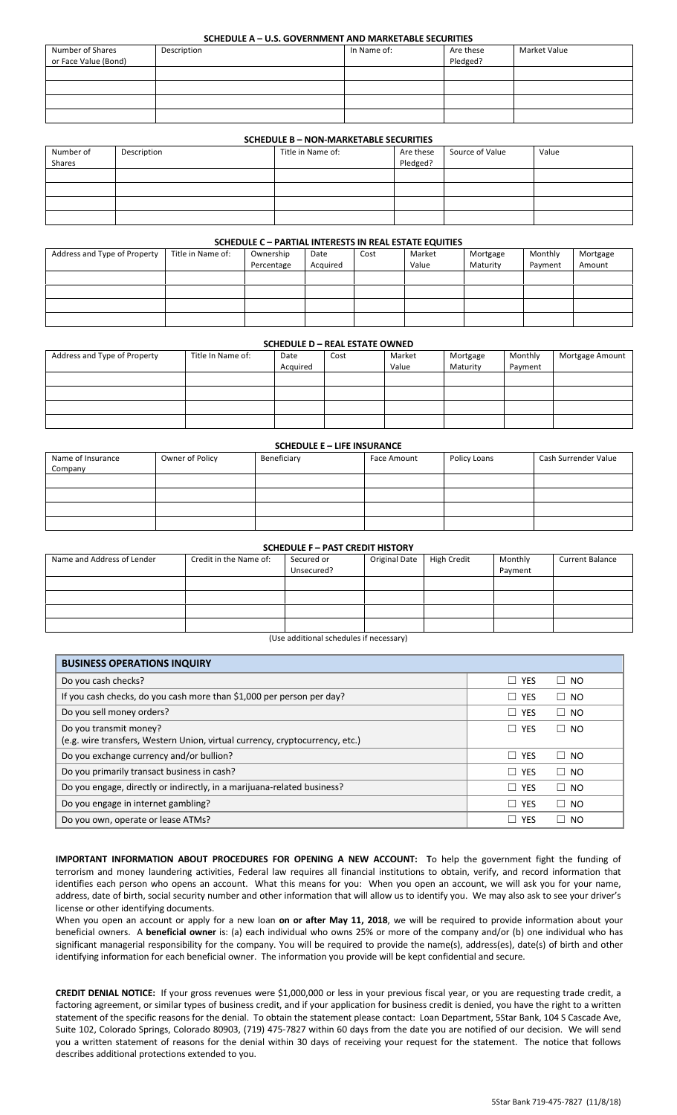## **SCHEDULE A – U.S. GOVERNMENT AND MARKETABLE SECURITIES**

| Number of Shares     | Description | In Name of: | Are these | Market Value |
|----------------------|-------------|-------------|-----------|--------------|
| or Face Value (Bond) |             |             | Pledged?  |              |
|                      |             |             |           |              |
|                      |             |             |           |              |
|                      |             |             |           |              |
|                      |             |             |           |              |

## **SCHEDULE B – NON-MARKETABLE SECURITIES**

| Number of | Description | Title in Name of: | Are these | Source of Value | Value |  |
|-----------|-------------|-------------------|-----------|-----------------|-------|--|
| Shares    |             |                   | Pledged?  |                 |       |  |
|           |             |                   |           |                 |       |  |
|           |             |                   |           |                 |       |  |
|           |             |                   |           |                 |       |  |
|           |             |                   |           |                 |       |  |

#### **SCHEDULE C – PARTIAL INTERESTS IN REAL ESTATE EQUITIES**

| Address and Type of Property | Title in Name of: | Ownership  | Date     | Cost | Market | Mortgage | Monthly | Mortgage |
|------------------------------|-------------------|------------|----------|------|--------|----------|---------|----------|
|                              |                   | Percentage | Acquired |      | Value  | Maturity | Payment | Amount   |
|                              |                   |            |          |      |        |          |         |          |
|                              |                   |            |          |      |        |          |         |          |
|                              |                   |            |          |      |        |          |         |          |
|                              |                   |            |          |      |        |          |         |          |

#### **SCHEDULE D – REAL ESTATE OWNED**

| Address and Type of Property | Title In Name of: | Date     | Cost | Market | Mortgage | Monthly | Mortgage Amount |
|------------------------------|-------------------|----------|------|--------|----------|---------|-----------------|
|                              |                   | Acquired |      | Value  | Maturity | Payment |                 |
|                              |                   |          |      |        |          |         |                 |
|                              |                   |          |      |        |          |         |                 |
|                              |                   |          |      |        |          |         |                 |
|                              |                   |          |      |        |          |         |                 |

#### **SCHEDULE E – LIFE INSURANCE**

| Name of Insurance<br>Company | Owner of Policy | Beneficiary | <b>Face Amount</b> | Policy Loans | Cash Surrender Value |
|------------------------------|-----------------|-------------|--------------------|--------------|----------------------|
|                              |                 |             |                    |              |                      |
|                              |                 |             |                    |              |                      |
|                              |                 |             |                    |              |                      |
|                              |                 |             |                    |              |                      |

# **SCHEDULE F – PAST CREDIT HISTORY**

| Name and Address of Lender | Credit in the Name of: | Secured or<br>Unsecured? | Original Date | High Credit | Monthly<br>Payment | Current Balance |
|----------------------------|------------------------|--------------------------|---------------|-------------|--------------------|-----------------|
|                            |                        |                          |               |             |                    |                 |
|                            |                        |                          |               |             |                    |                 |
|                            |                        |                          |               |             |                    |                 |
|                            |                        |                          |               |             |                    |                 |

(Use additional schedules if necessary)

| <b>BUSINESS OPERATIONS INQUIRY</b>                                                                     |                            |                     |
|--------------------------------------------------------------------------------------------------------|----------------------------|---------------------|
| Do you cash checks?                                                                                    | $\Box$ YES                 | $\Box$ NO           |
| If you cash checks, do you cash more than \$1,000 per person per day?                                  | $\Box$ YES                 | $\Box$ NO           |
| Do you sell money orders?                                                                              | $\Box$ YES                 | <b>NO</b><br>$\Box$ |
| Do you transmit money?<br>(e.g. wire transfers, Western Union, virtual currency, cryptocurrency, etc.) | $\Box$ YES                 | $\Box$ NO           |
| Do you exchange currency and/or bullion?                                                               | $\Box$ YES                 | $\Box$ NO           |
| Do you primarily transact business in cash?                                                            | $\Box$ Yes                 | $\Box$<br>NO.       |
| Do you engage, directly or indirectly, in a marijuana-related business?                                | $\Box$ YES                 | $\Box$ NO           |
| Do you engage in internet gambling?                                                                    | $\Box$ YES                 | NO.<br>$\Box$       |
| Do you own, operate or lease ATMs?                                                                     | <b>YES</b><br>$\mathbf{I}$ | NO.<br>$\Box$       |

**IMPORTANT INFORMATION ABOUT PROCEDURES FOR OPENING A NEW ACCOUNT: T**o help the government fight the funding of terrorism and money laundering activities, Federal law requires all financial institutions to obtain, verify, and record information that identifies each person who opens an account. What this means for you: When you open an account, we will ask you for your name, address, date of birth, social security number and other information that will allow us to identify you. We may also ask to see your driver's license or other identifying documents.

When you open an account or apply for a new loan **on or after May 11, 2018**, we will be required to provide information about your beneficial owners. A **beneficial owner** is: (a) each individual who owns 25% or more of the company and/or (b) one individual who has significant managerial responsibility for the company. You will be required to provide the name(s), address(es), date(s) of birth and other identifying information for each beneficial owner. The information you provide will be kept confidential and secure.

**CREDIT DENIAL NOTICE:** If your gross revenues were \$1,000,000 or less in your previous fiscal year, or you are requesting trade credit, a factoring agreement, or similar types of business credit, and if your application for business credit is denied, you have the right to a written statement of the specific reasons for the denial. To obtain the statement please contact: Loan Department, 5Star Bank, 104 S Cascade Ave, Suite 102, Colorado Springs, Colorado 80903, (719) 475-7827 within 60 days from the date you are notified of our decision. We will send you a written statement of reasons for the denial within 30 days of receiving your request for the statement. The notice that follows describes additional protections extended to you.